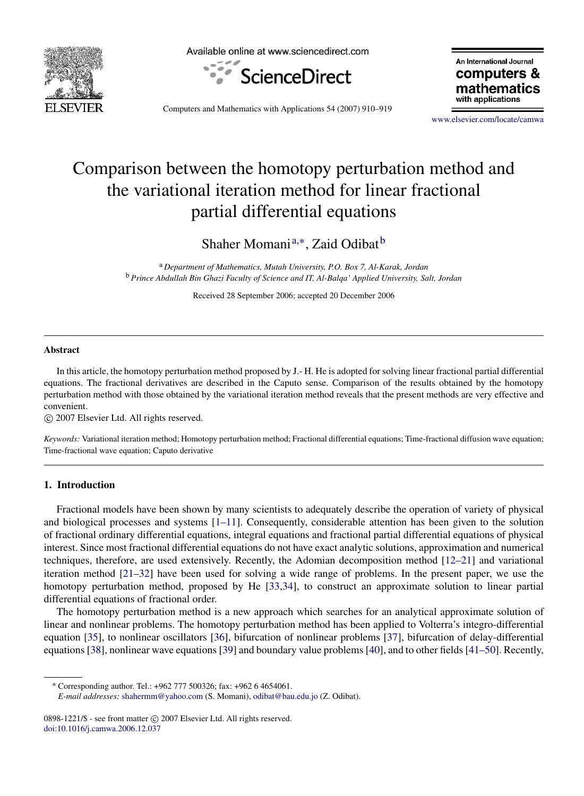

Available online at www.sciencedirect.com



An International Journal computers & mathematics with applications

Computers and Mathematics with Applications 54 (2007) 910–919

www.elsevier.com/locate/camwa

# Comparison between the homotopy perturbation method and the variational iteration method for linear fractional partial differential equations

Shaher Momani<sup>a,∗</sup>, Zaid Odibat<sup>b</sup>

<sup>a</sup> *Department of Mathematics, Mutah University, P.O. Box 7, Al-Karak, Jordan* <sup>b</sup> *Prince Abdullah Bin Ghazi Faculty of Science and IT, Al-Balqa' Applied University, Salt, Jordan*

Received 28 September 2006; accepted 20 December 2006

## Abstract

In this article, the homotopy perturbation method proposed by J.- H. He is adopted for solving linear fractional partial differential equations. The fractional derivatives are described in the Caputo sense. Comparison of the results obtained by the homotopy perturbation method with those obtained by the variational iteration method reveals that the present methods are very effective and convenient.

c 2007 Elsevier Ltd. All rights reserved.

*Keywords:* Variational iteration method; Homotopy perturbation method; Fractional differential equations; Time-fractional diffusion wave equation; Time-fractional wave equation; Caputo derivative

#### 1. Introduction

Fractional models have been shown by many scientists to adequately describe the operation of variety of physical and biological processes and systems [1–11]. Consequently, considerable attention has been given to the solution of fractional ordinary differential equations, integral equations and fractional partial differential equations of physical interest. Since most fractional differential equations do not have exact analytic solutions, approximation and numerical techniques, therefore, are used extensively. Recently, the Adomian decomposition method [12–21] and variational iteration method [21–32] have been used for solving a wide range of problems. In the present paper, we use the homotopy perturbation method, proposed by He [33,34], to construct an approximate solution to linear partial differential equations of fractional order.

The homotopy perturbation method is a new approach which searches for an analytical approximate solution of linear and nonlinear problems. The homotopy perturbation method has been applied to Volterra's integro-differential equation [35], to nonlinear oscillators [36], bifurcation of nonlinear problems [37], bifurcation of delay-differential equations [38], nonlinear wave equations [39] and boundary value problems [40], and to other fields [41–50]. Recently,

<sup>∗</sup> Corresponding author. Tel.: +962 777 500326; fax: +962 6 4654061.

*E-mail addresses:* shahermm@yahoo.com (S. Momani), odibat@bau.edu.jo (Z. Odibat).

<sup>0898-1221/\$ -</sup> see front matter © 2007 Elsevier Ltd. All rights reserved. doi:10.1016/j.camwa.2006.12.037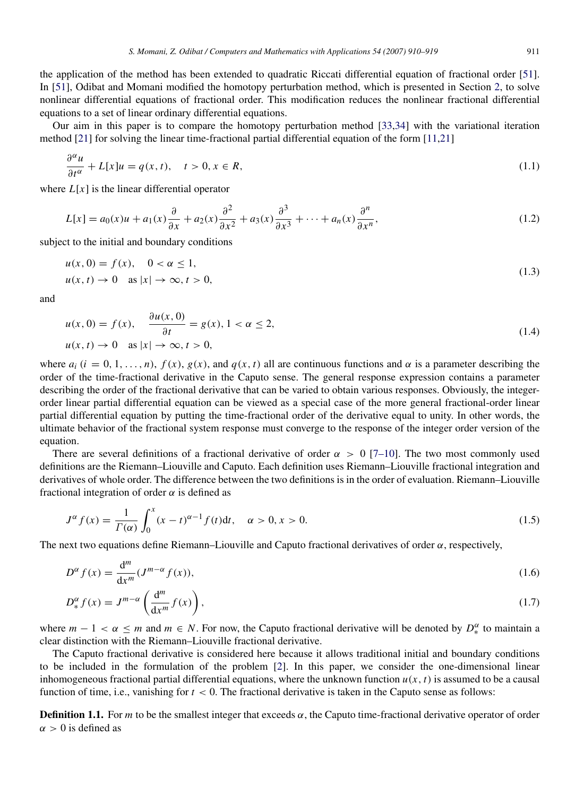the application of the method has been extended to quadratic Riccati differential equation of fractional order [51]. In [51], Odibat and Momani modified the homotopy perturbation method, which is presented in Section 2, to solve nonlinear differential equations of fractional order. This modification reduces the nonlinear fractional differential equations to a set of linear ordinary differential equations.

Our aim in this paper is to compare the homotopy perturbation method [33,34] with the variational iteration method [21] for solving the linear time-fractional partial differential equation of the form [11,21]

$$
\frac{\partial^{\alpha} u}{\partial t^{\alpha}} + L[x]u = q(x, t), \quad t > 0, x \in R,
$$
\n(1.1)

where  $L[x]$  is the linear differential operator

$$
L[x] = a_0(x)u + a_1(x)\frac{\partial}{\partial x} + a_2(x)\frac{\partial^2}{\partial x^2} + a_3(x)\frac{\partial^3}{\partial x^3} + \dots + a_n(x)\frac{\partial^n}{\partial x^n},
$$
\n(1.2)

subject to the initial and boundary conditions

$$
u(x, 0) = f(x), \quad 0 < \alpha \le 1,
$$
\n
$$
u(x, t) \to 0 \quad \text{as } |x| \to \infty, t > 0,
$$
\n
$$
(1.3)
$$

and

$$
u(x, 0) = f(x), \quad \frac{\partial u(x, 0)}{\partial t} = g(x), 1 < \alpha \le 2,
$$
\n
$$
u(x, t) \to 0 \quad \text{as } |x| \to \infty, t > 0,
$$
\n
$$
(1.4)
$$

where  $a_i$  ( $i = 0, 1, ..., n$ ),  $f(x)$ ,  $g(x)$ , and  $q(x, t)$  all are continuous functions and  $\alpha$  is a parameter describing the order of the time-fractional derivative in the Caputo sense. The general response expression contains a parameter describing the order of the fractional derivative that can be varied to obtain various responses. Obviously, the integerorder linear partial differential equation can be viewed as a special case of the more general fractional-order linear partial differential equation by putting the time-fractional order of the derivative equal to unity. In other words, the ultimate behavior of the fractional system response must converge to the response of the integer order version of the equation.

There are several definitions of a fractional derivative of order  $\alpha > 0$  [7–10]. The two most commonly used definitions are the Riemann–Liouville and Caputo. Each definition uses Riemann–Liouville fractional integration and derivatives of whole order. The difference between the two definitions is in the order of evaluation. Riemann–Liouville fractional integration of order  $\alpha$  is defined as

$$
J^{\alpha} f(x) = \frac{1}{\Gamma(\alpha)} \int_0^x (x - t)^{\alpha - 1} f(t) dt, \quad \alpha > 0, x > 0.
$$
 (1.5)

The next two equations define Riemann–Liouville and Caputo fractional derivatives of order  $\alpha$ , respectively,

$$
D^{\alpha} f(x) = \frac{d^m}{dx^m} (J^{m-\alpha} f(x)),
$$
\n(1.6)

$$
D_{*}^{\alpha} f(x) = J^{m-\alpha} \left( \frac{d^{m}}{dx^{m}} f(x) \right), \qquad (1.7)
$$

where  $m-1 < \alpha \le m$  and  $m \in N$ . For now, the Caputo fractional derivative will be denoted by  $D_*^{\alpha}$  to maintain a clear distinction with the Riemann–Liouville fractional derivative.

The Caputo fractional derivative is considered here because it allows traditional initial and boundary conditions to be included in the formulation of the problem [2]. In this paper, we consider the one-dimensional linear inhomogeneous fractional partial differential equations, where the unknown function  $u(x, t)$  is assumed to be a causal function of time, i.e., vanishing for *t* < 0. The fractional derivative is taken in the Caputo sense as follows:

**Definition 1.1.** For *m* to be the smallest integer that exceeds  $\alpha$ , the Caputo time-fractional derivative operator of order  $\alpha > 0$  is defined as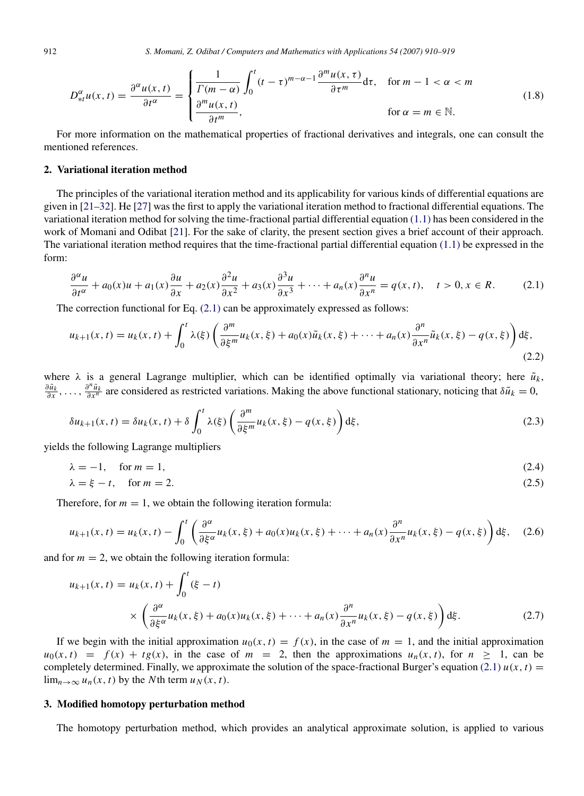912 *S. Momani, Z. Odibat / Computers and Mathematics with Applications 54 (2007) 910–919*

$$
D_{\ast t}^{\alpha}u(x,t) = \frac{\partial^{\alpha}u(x,t)}{\partial t^{\alpha}} = \begin{cases} \frac{1}{\Gamma(m-\alpha)} \int_{0}^{t} (t-\tau)^{m-\alpha-1} \frac{\partial^{m}u(x,\tau)}{\partial \tau^{m}} d\tau, & \text{for } m-1 < \alpha < m\\ \frac{\partial^{m}u(x,t)}{\partial t^{m}}, & \text{for } \alpha = m \in \mathbb{N}. \end{cases}
$$
(1.8)

For more information on the mathematical properties of fractional derivatives and integrals, one can consult the mentioned references.

## 2. Variational iteration method

The principles of the variational iteration method and its applicability for various kinds of differential equations are given in [21–32]. He [27] was the first to apply the variational iteration method to fractional differential equations. The variational iteration method for solving the time-fractional partial differential equation (1.1) has been considered in the work of Momani and Odibat [21]. For the sake of clarity, the present section gives a brief account of their approach. The variational iteration method requires that the time-fractional partial differential equation  $(1.1)$  be expressed in the form:

$$
\frac{\partial^{\alpha} u}{\partial t^{\alpha}} + a_0(x)u + a_1(x)\frac{\partial u}{\partial x} + a_2(x)\frac{\partial^2 u}{\partial x^2} + a_3(x)\frac{\partial^3 u}{\partial x^3} + \dots + a_n(x)\frac{\partial^n u}{\partial x^n} = q(x, t), \quad t > 0, x \in R.
$$
 (2.1)

The correction functional for Eq. (2.1) can be approximately expressed as follows:

$$
u_{k+1}(x,t) = u_k(x,t) + \int_0^t \lambda(\xi) \left( \frac{\partial^m}{\partial \xi^m} u_k(x,\xi) + a_0(x)\tilde{u}_k(x,\xi) + \dots + a_n(x) \frac{\partial^n}{\partial x^n} \tilde{u}_k(x,\xi) - q(x,\xi) \right) d\xi,
$$
\n(2.2)

where  $\lambda$  is a general Lagrange multiplier, which can be identified optimally via variational theory; here  $\tilde{u}_k$ ,  $\frac{\partial \tilde{u}_k}{\partial x}$ , ...,  $\frac{\partial^n \tilde{u}_k}{\partial x^n}$  are considered as restricted variations. Making the above functional stationary, noticing that  $\delta \tilde{u}_k = 0$ ,

$$
\delta u_{k+1}(x,t) = \delta u_k(x,t) + \delta \int_0^t \lambda(\xi) \left( \frac{\partial^m}{\partial \xi^m} u_k(x,\xi) - q(x,\xi) \right) d\xi,
$$
\n(2.3)

yields the following Lagrange multipliers

$$
\lambda = -1, \quad \text{for } m = 1,\tag{2.4}
$$

$$
\lambda = \xi - t, \quad \text{for } m = 2. \tag{2.5}
$$

Therefore, for  $m = 1$ , we obtain the following iteration formula:

$$
u_{k+1}(x,t) = u_k(x,t) - \int_0^t \left( \frac{\partial^{\alpha}}{\partial \xi^{\alpha}} u_k(x,\xi) + a_0(x) u_k(x,\xi) + \dots + a_n(x) \frac{\partial^n}{\partial x^n} u_k(x,\xi) - q(x,\xi) \right) d\xi, \quad (2.6)
$$

and for  $m = 2$ , we obtain the following iteration formula:

$$
u_{k+1}(x,t) = u_k(x,t) + \int_0^t (\xi - t)
$$
  
 
$$
\times \left( \frac{\partial^{\alpha}}{\partial \xi^{\alpha}} u_k(x,\xi) + a_0(x) u_k(x,\xi) + \dots + a_n(x) \frac{\partial^n}{\partial x^n} u_k(x,\xi) - q(x,\xi) \right) d\xi.
$$
 (2.7)

If we begin with the initial approximation  $u_0(x, t) = f(x)$ , in the case of  $m = 1$ , and the initial approximation  $u_0(x, t) = f(x) + tg(x)$ , in the case of  $m = 2$ , then the approximations  $u_n(x, t)$ , for  $n \ge 1$ , can be completely determined. Finally, we approximate the solution of the space-fractional Burger's equation (2.1)  $u(x, t) =$ lim<sub>*n*→∞</sub>  $u_n(x, t)$  by the *N*th term  $u_N(x, t)$ .

#### 3. Modified homotopy perturbation method

The homotopy perturbation method, which provides an analytical approximate solution, is applied to various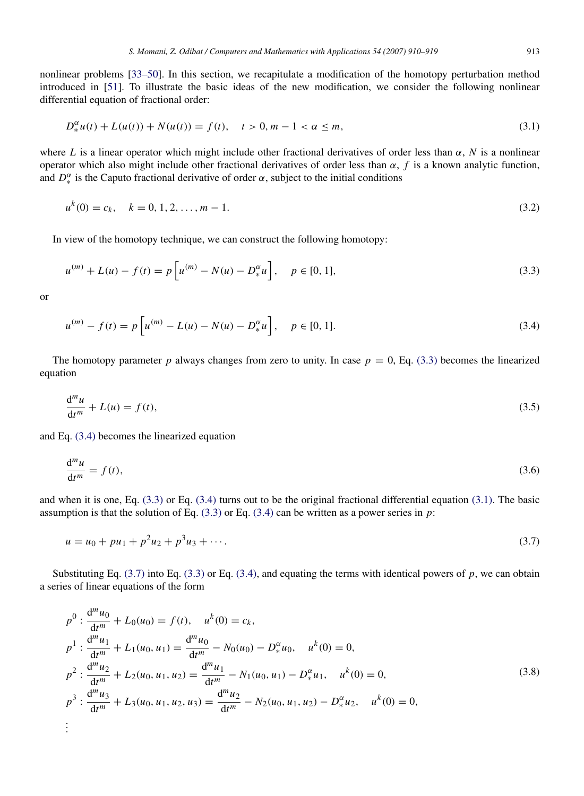nonlinear problems [33–50]. In this section, we recapitulate a modification of the homotopy perturbation method introduced in [51]. To illustrate the basic ideas of the new modification, we consider the following nonlinear differential equation of fractional order:

$$
D_{*}^{\alpha}u(t) + L(u(t)) + N(u(t)) = f(t), \quad t > 0, m - 1 < \alpha \le m,
$$
\n(3.1)

where *L* is a linear operator which might include other fractional derivatives of order less than  $\alpha$ , *N* is a nonlinear operator which also might include other fractional derivatives of order less than  $\alpha$ ,  $f$  is a known analytic function, and  $D_{\ast}^{\alpha}$  is the Caputo fractional derivative of order  $\alpha$ , subject to the initial conditions

$$
u^{k}(0) = c_{k}, \quad k = 0, 1, 2, \dots, m - 1. \tag{3.2}
$$

In view of the homotopy technique, we can construct the following homotopy:

$$
u^{(m)} + L(u) - f(t) = p \left[ u^{(m)} - N(u) - D_*^{\alpha} u \right], \quad p \in [0, 1],
$$
\n(3.3)

or

$$
u^{(m)} - f(t) = p \left[ u^{(m)} - L(u) - N(u) - D_*^{\alpha} u \right], \quad p \in [0, 1].
$$
\n(3.4)

The homotopy parameter *p* always changes from zero to unity. In case  $p = 0$ , Eq. (3.3) becomes the linearized equation

$$
\frac{\mathrm{d}^m u}{\mathrm{d}t^m} + L(u) = f(t),\tag{3.5}
$$

and Eq. (3.4) becomes the linearized equation

$$
\frac{d^m u}{dt^m} = f(t),\tag{3.6}
$$

and when it is one, Eq. (3.3) or Eq. (3.4) turns out to be the original fractional differential equation (3.1). The basic assumption is that the solution of Eq.  $(3.3)$  or Eq.  $(3.4)$  can be written as a power series in *p*:

$$
u = u_0 + pu_1 + p^2 u_2 + p^3 u_3 + \dotsb. \tag{3.7}
$$

Substituting Eq. (3.7) into Eq. (3.3) or Eq. (3.4), and equating the terms with identical powers of *p*, we can obtain a series of linear equations of the form

$$
p^{0}: \frac{d^{m} u_{0}}{dt^{m}} + L_{0}(u_{0}) = f(t), \quad u^{k}(0) = c_{k},
$$
\n
$$
p^{1}: \frac{d^{m} u_{1}}{dt^{m}} + L_{1}(u_{0}, u_{1}) = \frac{d^{m} u_{0}}{dt^{m}} - N_{0}(u_{0}) - D_{*}^{\alpha} u_{0}, \quad u^{k}(0) = 0,
$$
\n
$$
p^{2}: \frac{d^{m} u_{2}}{dt^{m}} + L_{2}(u_{0}, u_{1}, u_{2}) = \frac{d^{m} u_{1}}{dt^{m}} - N_{1}(u_{0}, u_{1}) - D_{*}^{\alpha} u_{1}, \quad u^{k}(0) = 0,
$$
\n
$$
p^{3}: \frac{d^{m} u_{3}}{dt^{m}} + L_{3}(u_{0}, u_{1}, u_{2}, u_{3}) = \frac{d^{m} u_{2}}{dt^{m}} - N_{2}(u_{0}, u_{1}, u_{2}) - D_{*}^{\alpha} u_{2}, \quad u^{k}(0) = 0,
$$
\n
$$
\vdots
$$
\n(3.8)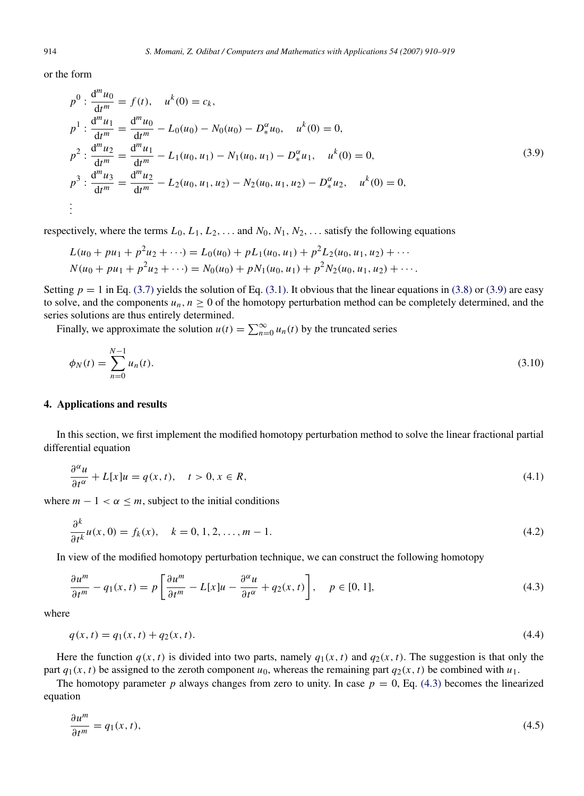or the form

 $\ddot{u}$ 

$$
p^{0}: \frac{d^{m} u_{0}}{dt^{m}} = f(t), \quad u^{k}(0) = c_{k},
$$
\n
$$
p^{1}: \frac{d^{m} u_{1}}{dt^{m}} = \frac{d^{m} u_{0}}{dt^{m}} - L_{0}(u_{0}) - N_{0}(u_{0}) - D_{*}^{\alpha} u_{0}, \quad u^{k}(0) = 0,
$$
\n
$$
p^{2}: \frac{d^{m} u_{2}}{dt^{m}} = \frac{d^{m} u_{1}}{dt^{m}} - L_{1}(u_{0}, u_{1}) - N_{1}(u_{0}, u_{1}) - D_{*}^{\alpha} u_{1}, \quad u^{k}(0) = 0,
$$
\n
$$
p^{3}: \frac{d^{m} u_{3}}{dt^{m}} = \frac{d^{m} u_{2}}{dt^{m}} - L_{2}(u_{0}, u_{1}, u_{2}) - N_{2}(u_{0}, u_{1}, u_{2}) - D_{*}^{\alpha} u_{2}, \quad u^{k}(0) = 0,
$$
\n
$$
\vdots
$$
\n(3.9)

respectively, where the terms  $L_0, L_1, L_2, \ldots$  and  $N_0, N_1, N_2, \ldots$  satisfy the following equations

$$
L(u_0 + pu_1 + p^2u_2 + \cdots) = L_0(u_0) + pL_1(u_0, u_1) + p^2L_2(u_0, u_1, u_2) + \cdots
$$
  
\n
$$
N(u_0 + pu_1 + p^2u_2 + \cdots) = N_0(u_0) + pN_1(u_0, u_1) + p^2N_2(u_0, u_1, u_2) + \cdots
$$

Setting  $p = 1$  in Eq. (3.7) yields the solution of Eq. (3.1). It obvious that the linear equations in (3.8) or (3.9) are easy to solve, and the components  $u_n$ ,  $n \geq 0$  of the homotopy perturbation method can be completely determined, and the series solutions are thus entirely determined.

Finally, we approximate the solution  $u(t) = \sum_{n=0}^{\infty} u_n(t)$  by the truncated series

$$
\phi_N(t) = \sum_{n=0}^{N-1} u_n(t). \tag{3.10}
$$

# 4. Applications and results

In this section, we first implement the modified homotopy perturbation method to solve the linear fractional partial differential equation

$$
\frac{\partial^{\alpha} u}{\partial t^{\alpha}} + L[x]u = q(x, t), \quad t > 0, x \in R,
$$
\n(4.1)

where  $m - 1 < \alpha \leq m$ , subject to the initial conditions

$$
\frac{\partial^k}{\partial t^k} u(x,0) = f_k(x), \quad k = 0, 1, 2, \dots, m - 1.
$$
 (4.2)

In view of the modified homotopy perturbation technique, we can construct the following homotopy

$$
\frac{\partial u^m}{\partial t^m} - q_1(x, t) = p \left[ \frac{\partial u^m}{\partial t^m} - L[x]u - \frac{\partial^{\alpha} u}{\partial t^{\alpha}} + q_2(x, t) \right], \quad p \in [0, 1],
$$
\n(4.3)

where

$$
q(x,t) = q_1(x,t) + q_2(x,t). \tag{4.4}
$$

Here the function  $q(x, t)$  is divided into two parts, namely  $q_1(x, t)$  and  $q_2(x, t)$ . The suggestion is that only the part  $q_1(x, t)$  be assigned to the zeroth component  $u_0$ , whereas the remaining part  $q_2(x, t)$  be combined with  $u_1$ .

The homotopy parameter *p* always changes from zero to unity. In case  $p = 0$ , Eq. (4.3) becomes the linearized equation

$$
\frac{\partial u^m}{\partial t^m} = q_1(x, t),\tag{4.5}
$$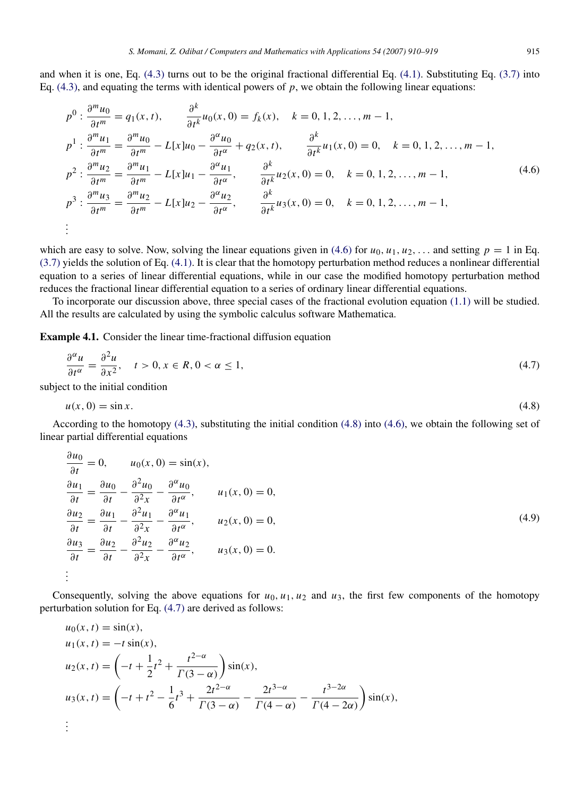and when it is one, Eq. (4.3) turns out to be the original fractional differential Eq. (4.1). Substituting Eq. (3.7) into Eq.  $(4.3)$ , and equating the terms with identical powers of *p*, we obtain the following linear equations:

$$
p^{0}: \frac{\partial^{m} u_{0}}{\partial t^{m}} = q_{1}(x, t), \qquad \frac{\partial^{k}}{\partial t^{k}} u_{0}(x, 0) = f_{k}(x), \quad k = 0, 1, 2, ..., m - 1,
$$
  
\n
$$
p^{1}: \frac{\partial^{m} u_{1}}{\partial t^{m}} = \frac{\partial^{m} u_{0}}{\partial t^{m}} - L[x]u_{0} - \frac{\partial^{\alpha} u_{0}}{\partial t^{\alpha}} + q_{2}(x, t), \qquad \frac{\partial^{k}}{\partial t^{k}} u_{1}(x, 0) = 0, \quad k = 0, 1, 2, ..., m - 1,
$$
  
\n
$$
p^{2}: \frac{\partial^{m} u_{2}}{\partial t^{m}} = \frac{\partial^{m} u_{1}}{\partial t^{m}} - L[x]u_{1} - \frac{\partial^{\alpha} u_{1}}{\partial t^{\alpha}}, \qquad \frac{\partial^{k}}{\partial t^{k}} u_{2}(x, 0) = 0, \quad k = 0, 1, 2, ..., m - 1,
$$
  
\n
$$
p^{3}: \frac{\partial^{m} u_{3}}{\partial t^{m}} = \frac{\partial^{m} u_{2}}{\partial t^{m}} - L[x]u_{2} - \frac{\partial^{\alpha} u_{2}}{\partial t^{\alpha}}, \qquad \frac{\partial^{k}}{\partial t^{k}} u_{3}(x, 0) = 0, \quad k = 0, 1, 2, ..., m - 1,
$$
  
\n
$$
\vdots
$$
  
\n(4.6)

which are easy to solve. Now, solving the linear equations given in (4.6) for  $u_0, u_1, u_2, \ldots$  and setting  $p = 1$  in Eq. (3.7) yields the solution of Eq. (4.1). It is clear that the homotopy perturbation method reduces a nonlinear differential equation to a series of linear differential equations, while in our case the modified homotopy perturbation method reduces the fractional linear differential equation to a series of ordinary linear differential equations.

To incorporate our discussion above, three special cases of the fractional evolution equation (1.1) will be studied. All the results are calculated by using the symbolic calculus software Mathematica.

Example 4.1. Consider the linear time-fractional diffusion equation

$$
\frac{\partial^{\alpha} u}{\partial t^{\alpha}} = \frac{\partial^2 u}{\partial x^2}, \quad t > 0, x \in R, 0 < \alpha \le 1,
$$
\n
$$
(4.7)
$$

subject to the initial condition

$$
u(x,0) = \sin x. \tag{4.8}
$$

According to the homotopy (4.3), substituting the initial condition (4.8) into (4.6), we obtain the following set of linear partial differential equations

$$
\frac{\partial u_0}{\partial t} = 0, \qquad u_0(x, 0) = \sin(x),
$$
  
\n
$$
\frac{\partial u_1}{\partial t} = \frac{\partial u_0}{\partial t} - \frac{\partial^2 u_0}{\partial x^2} - \frac{\partial^{\alpha} u_0}{\partial t^{\alpha}}, \qquad u_1(x, 0) = 0,
$$
  
\n
$$
\frac{\partial u_2}{\partial t} = \frac{\partial u_1}{\partial t} - \frac{\partial^2 u_1}{\partial x^2} - \frac{\partial^{\alpha} u_1}{\partial t^{\alpha}}, \qquad u_2(x, 0) = 0,
$$
  
\n
$$
\frac{\partial u_3}{\partial t} = \frac{\partial u_2}{\partial t} - \frac{\partial^2 u_2}{\partial x^2} - \frac{\partial^{\alpha} u_2}{\partial t^{\alpha}}, \qquad u_3(x, 0) = 0.
$$
  
\n
$$
\vdots
$$
 (4.9)

Consequently, solving the above equations for  $u_0$ ,  $u_1$ ,  $u_2$  and  $u_3$ , the first few components of the homotopy perturbation solution for Eq. (4.7) are derived as follows:

$$
u_0(x, t) = \sin(x),
$$
  
\n
$$
u_1(x, t) = -t \sin(x),
$$
  
\n
$$
u_2(x, t) = \left(-t + \frac{1}{2}t^2 + \frac{t^{2-\alpha}}{\Gamma(3-\alpha)}\right)\sin(x),
$$
  
\n
$$
u_3(x, t) = \left(-t + t^2 - \frac{1}{6}t^3 + \frac{2t^{2-\alpha}}{\Gamma(3-\alpha)} - \frac{2t^{3-\alpha}}{\Gamma(4-\alpha)} - \frac{t^{3-2\alpha}}{\Gamma(4-2\alpha)}\right)\sin(x),
$$
  
\n
$$
\vdots
$$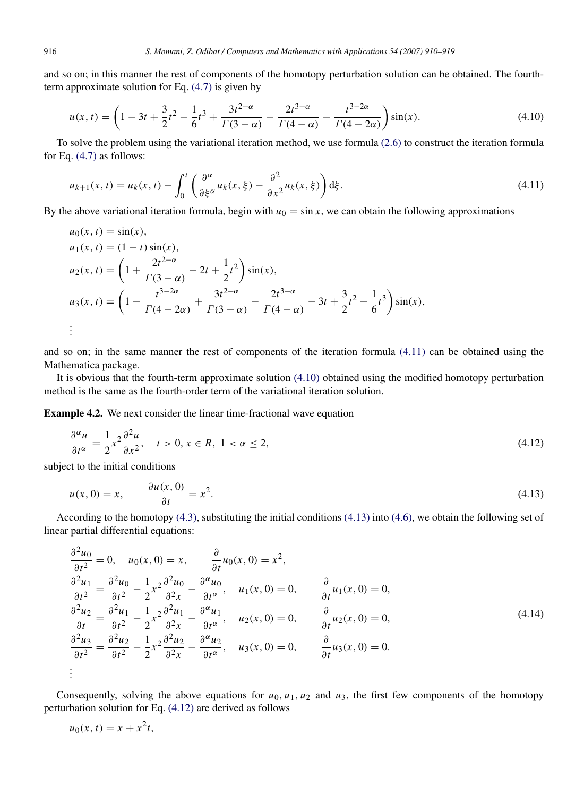and so on; in this manner the rest of components of the homotopy perturbation solution can be obtained. The fourthterm approximate solution for Eq. (4.7) is given by

$$
u(x,t) = \left(1 - 3t + \frac{3}{2}t^2 - \frac{1}{6}t^3 + \frac{3t^{2-\alpha}}{\Gamma(3-\alpha)} - \frac{2t^{3-\alpha}}{\Gamma(4-\alpha)} - \frac{t^{3-2\alpha}}{\Gamma(4-2\alpha)}\right)\sin(x). \tag{4.10}
$$

To solve the problem using the variational iteration method, we use formula (2.6) to construct the iteration formula for Eq. (4.7) as follows:

$$
u_{k+1}(x,t) = u_k(x,t) - \int_0^t \left( \frac{\partial^\alpha}{\partial \xi^\alpha} u_k(x,\xi) - \frac{\partial^2}{\partial x^2} u_k(x,\xi) \right) d\xi.
$$
 (4.11)

By the above variational iteration formula, begin with  $u_0 = \sin x$ , we can obtain the following approximations

$$
u_0(x, t) = \sin(x),
$$
  
\n
$$
u_1(x, t) = (1 - t) \sin(x),
$$
  
\n
$$
u_2(x, t) = \left(1 + \frac{2t^{2-\alpha}}{\Gamma(3-\alpha)} - 2t + \frac{1}{2}t^2\right) \sin(x),
$$
  
\n
$$
u_3(x, t) = \left(1 - \frac{t^{3-2\alpha}}{\Gamma(4-2\alpha)} + \frac{3t^{2-\alpha}}{\Gamma(3-\alpha)} - \frac{2t^{3-\alpha}}{\Gamma(4-\alpha)} - 3t + \frac{3}{2}t^2 - \frac{1}{6}t^3\right) \sin(x),
$$
  
\n
$$
\vdots
$$

and so on; in the same manner the rest of components of the iteration formula (4.11) can be obtained using the Mathematica package.

It is obvious that the fourth-term approximate solution (4.10) obtained using the modified homotopy perturbation method is the same as the fourth-order term of the variational iteration solution.

Example 4.2. We next consider the linear time-fractional wave equation

$$
\frac{\partial^{\alpha} u}{\partial t^{\alpha}} = \frac{1}{2} x^{2} \frac{\partial^{2} u}{\partial x^{2}}, \quad t > 0, x \in R, 1 < \alpha \le 2,
$$
\n
$$
(4.12)
$$

subject to the initial conditions

$$
u(x, 0) = x, \qquad \frac{\partial u(x, 0)}{\partial t} = x^2. \tag{4.13}
$$

According to the homotopy (4.3), substituting the initial conditions (4.13) into (4.6), we obtain the following set of linear partial differential equations:

$$
\frac{\partial^2 u_0}{\partial t^2} = 0, \quad u_0(x, 0) = x, \qquad \frac{\partial}{\partial t} u_0(x, 0) = x^2,
$$
  
\n
$$
\frac{\partial^2 u_1}{\partial t^2} = \frac{\partial^2 u_0}{\partial t^2} - \frac{1}{2} x^2 \frac{\partial^2 u_0}{\partial x^2} - \frac{\partial^{\alpha} u_0}{\partial t^{\alpha}}, \quad u_1(x, 0) = 0, \qquad \frac{\partial}{\partial t} u_1(x, 0) = 0,
$$
  
\n
$$
\frac{\partial^2 u_2}{\partial t} = \frac{\partial^2 u_1}{\partial t^2} - \frac{1}{2} x^2 \frac{\partial^2 u_1}{\partial x^2} - \frac{\partial^{\alpha} u_1}{\partial t^{\alpha}}, \quad u_2(x, 0) = 0, \qquad \frac{\partial}{\partial t} u_2(x, 0) = 0,
$$
  
\n
$$
\frac{\partial^2 u_3}{\partial t^2} = \frac{\partial^2 u_2}{\partial t^2} - \frac{1}{2} x^2 \frac{\partial^2 u_2}{\partial x^2} - \frac{\partial^{\alpha} u_2}{\partial t^{\alpha}}, \quad u_3(x, 0) = 0, \qquad \frac{\partial}{\partial t} u_3(x, 0) = 0.
$$
  
\n
$$
\vdots
$$
 (4.14)

Consequently, solving the above equations for  $u_0$ ,  $u_1$ ,  $u_2$  and  $u_3$ , the first few components of the homotopy perturbation solution for Eq. (4.12) are derived as follows

$$
u_0(x,t) = x + x^2t,
$$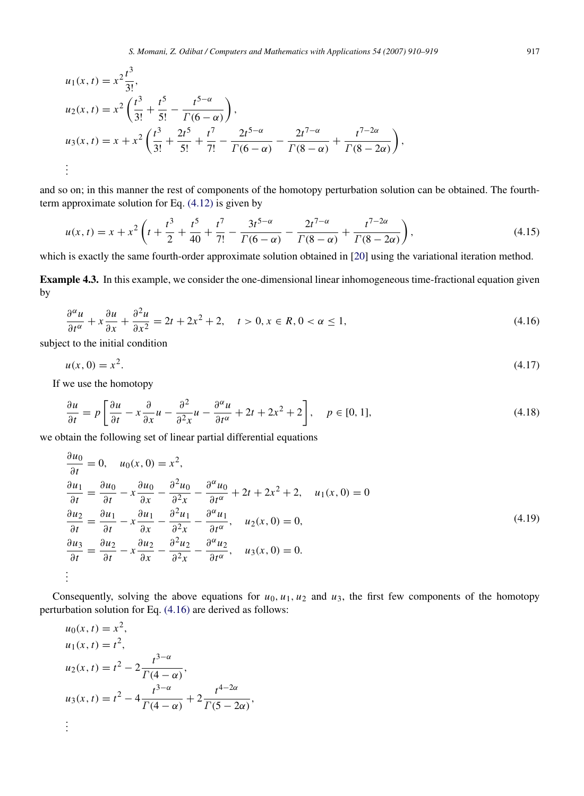$$
u_1(x, t) = x^2 \frac{t^3}{3!},
$$
  
\n
$$
u_2(x, t) = x^2 \left(\frac{t^3}{3!} + \frac{t^5}{5!} - \frac{t^{5-\alpha}}{\Gamma(6-\alpha)}\right),
$$
  
\n
$$
u_3(x, t) = x + x^2 \left(\frac{t^3}{3!} + \frac{2t^5}{5!} + \frac{t^7}{7!} - \frac{2t^{5-\alpha}}{\Gamma(6-\alpha)} - \frac{2t^{7-\alpha}}{\Gamma(8-\alpha)} + \frac{t^{7-2\alpha}}{\Gamma(8-2\alpha)}\right),
$$
  
\n
$$
\vdots
$$

and so on; in this manner the rest of components of the homotopy perturbation solution can be obtained. The fourthterm approximate solution for Eq. (4.12) is given by

$$
u(x,t) = x + x^2 \left( t + \frac{t^3}{2} + \frac{t^5}{40} + \frac{t^7}{7!} - \frac{3t^{5-\alpha}}{\Gamma(6-\alpha)} - \frac{2t^{7-\alpha}}{\Gamma(8-\alpha)} + \frac{t^{7-2\alpha}}{\Gamma(8-2\alpha)} \right),\tag{4.15}
$$

which is exactly the same fourth-order approximate solution obtained in [20] using the variational iteration method.

Example 4.3. In this example, we consider the one-dimensional linear inhomogeneous time-fractional equation given by

$$
\frac{\partial^{\alpha} u}{\partial t^{\alpha}} + x \frac{\partial u}{\partial x} + \frac{\partial^2 u}{\partial x^2} = 2t + 2x^2 + 2, \quad t > 0, x \in R, 0 < \alpha \le 1,
$$
\n(4.16)

subject to the initial condition

$$
u(x,0) = x^2. \tag{4.17}
$$

If we use the homotopy

$$
\frac{\partial u}{\partial t} = p \left[ \frac{\partial u}{\partial t} - x \frac{\partial}{\partial x} u - \frac{\partial^2}{\partial x^2} u - \frac{\partial^{\alpha} u}{\partial t^{\alpha}} + 2t + 2x^2 + 2 \right], \quad p \in [0, 1],
$$
\n(4.18)

we obtain the following set of linear partial differential equations

$$
\frac{\partial u_0}{\partial t} = 0, \quad u_0(x, 0) = x^2,
$$
\n
$$
\frac{\partial u_1}{\partial t} = \frac{\partial u_0}{\partial t} - x \frac{\partial u_0}{\partial x} - \frac{\partial^2 u_0}{\partial x^2} - \frac{\partial^{\alpha} u_0}{\partial t^{\alpha}} + 2t + 2x^2 + 2, \quad u_1(x, 0) = 0
$$
\n
$$
\frac{\partial u_2}{\partial t} = \frac{\partial u_1}{\partial t} - x \frac{\partial u_1}{\partial x} - \frac{\partial^2 u_1}{\partial x^2} - \frac{\partial^{\alpha} u_1}{\partial t^{\alpha}}, \quad u_2(x, 0) = 0,
$$
\n
$$
\frac{\partial u_3}{\partial t} = \frac{\partial u_2}{\partial t} - x \frac{\partial u_2}{\partial x} - \frac{\partial^2 u_2}{\partial x^2} - \frac{\partial^{\alpha} u_2}{\partial t^{\alpha}}, \quad u_3(x, 0) = 0.
$$
\n
$$
\vdots
$$
\n(4.19)

Consequently, solving the above equations for  $u_0$ ,  $u_1$ ,  $u_2$  and  $u_3$ , the first few components of the homotopy perturbation solution for Eq. (4.16) are derived as follows:

$$
u_0(x, t) = x^2,
$$
  
\n
$$
u_1(x, t) = t^2,
$$
  
\n
$$
u_2(x, t) = t^2 - 2 \frac{t^{3-\alpha}}{\Gamma(4-\alpha)},
$$
  
\n
$$
u_3(x, t) = t^2 - 4 \frac{t^{3-\alpha}}{\Gamma(4-\alpha)} + 2 \frac{t^{4-2\alpha}}{\Gamma(5-2\alpha)},
$$
  
\n
$$
\vdots
$$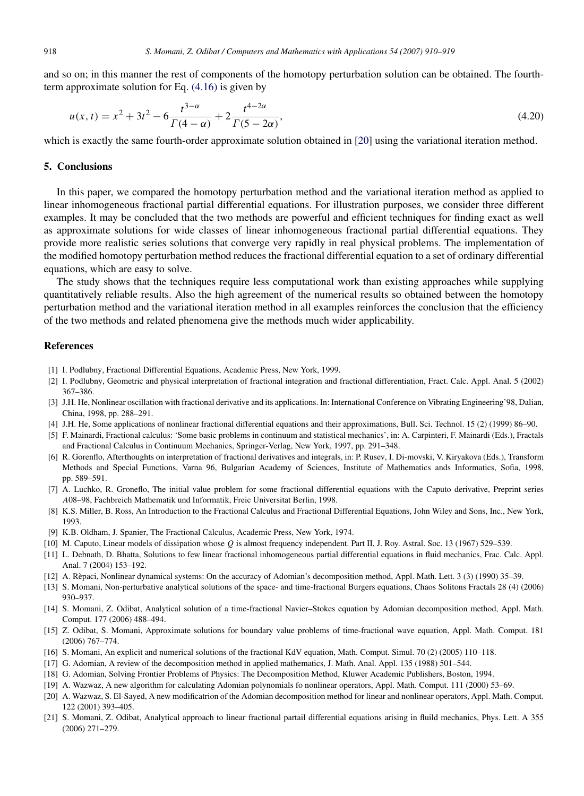and so on; in this manner the rest of components of the homotopy perturbation solution can be obtained. The fourthterm approximate solution for Eq. (4.16) is given by

$$
u(x,t) = x^2 + 3t^2 - 6\frac{t^{3-\alpha}}{\Gamma(4-\alpha)} + 2\frac{t^{4-2\alpha}}{\Gamma(5-2\alpha)},
$$
\n(4.20)

which is exactly the same fourth-order approximate solution obtained in [20] using the variational iteration method.

#### 5. Conclusions

In this paper, we compared the homotopy perturbation method and the variational iteration method as applied to linear inhomogeneous fractional partial differential equations. For illustration purposes, we consider three different examples. It may be concluded that the two methods are powerful and efficient techniques for finding exact as well as approximate solutions for wide classes of linear inhomogeneous fractional partial differential equations. They provide more realistic series solutions that converge very rapidly in real physical problems. The implementation of the modified homotopy perturbation method reduces the fractional differential equation to a set of ordinary differential equations, which are easy to solve.

The study shows that the techniques require less computational work than existing approaches while supplying quantitatively reliable results. Also the high agreement of the numerical results so obtained between the homotopy perturbation method and the variational iteration method in all examples reinforces the conclusion that the efficiency of the two methods and related phenomena give the methods much wider applicability.

## References

- [1] I. Podlubny, Fractional Differential Equations, Academic Press, New York, 1999.
- [2] I. Podlubny, Geometric and physical interpretation of fractional integration and fractional differentiation, Fract. Calc. Appl. Anal. 5 (2002) 367–386.
- [3] J.H. He, Nonlinear oscillation with fractional derivative and its applications. In: International Conference on Vibrating Engineering'98, Dalian, China, 1998, pp. 288–291.
- [4] J.H. He, Some applications of nonlinear fractional differential equations and their approximations, Bull. Sci. Technol. 15 (2) (1999) 86–90.
- [5] F. Mainardi, Fractional calculus: 'Some basic problems in continuum and statistical mechanics', in: A. Carpinteri, F. Mainardi (Eds.), Fractals and Fractional Calculus in Continuum Mechanics, Springer-Verlag, New York, 1997, pp. 291–348.
- [6] R. Gorenflo, Afterthoughts on interpretation of fractional derivatives and integrals, in: P. Rusev, I. Di-movski, V. Kiryakova (Eds.), Transform Methods and Special Functions, Varna 96, Bulgarian Academy of Sciences, Institute of Mathematics ands Informatics, Sofia, 1998, pp. 589–591.
- [7] A. Luchko, R. Groneflo, The initial value problem for some fractional differential equations with the Caputo derivative, Preprint series *A*08–98, Fachbreich Mathematik und Informatik, Freic Universitat Berlin, 1998.
- [8] K.S. Miller, B. Ross, An Introduction to the Fractional Calculus and Fractional Differential Equations, John Wiley and Sons, Inc., New York, 1993.
- [9] K.B. Oldham, J. Spanier, The Fractional Calculus, Academic Press, New York, 1974.
- [10] M. Caputo, Linear models of dissipation whose *Q* is almost frequency independent. Part II, J. Roy. Astral. Soc. 13 (1967) 529–539.
- [11] L. Debnath, D. Bhatta, Solutions to few linear fractional inhomogeneous partial differential equations in fluid mechanics, Frac. Calc. Appl. Anal. 7 (2004) 153–192.
- [12] A. Repaci, Nonlinear dynamical systems: On the accuracy of Adomian's decomposition method, Appl. Math. Lett. 3 (3) (1990) 35–39. `
- [13] S. Momani, Non-perturbative analytical solutions of the space- and time-fractional Burgers equations, Chaos Solitons Fractals 28 (4) (2006) 930–937.
- [14] S. Momani, Z. Odibat, Analytical solution of a time-fractional Navier–Stokes equation by Adomian decomposition method, Appl. Math. Comput. 177 (2006) 488–494.
- [15] Z. Odibat, S. Momani, Approximate solutions for boundary value problems of time-fractional wave equation, Appl. Math. Comput. 181 (2006) 767–774.
- [16] S. Momani, An explicit and numerical solutions of the fractional KdV equation, Math. Comput. Simul. 70 (2) (2005) 110–118.
- [17] G. Adomian, A review of the decomposition method in applied mathematics, J. Math. Anal. Appl. 135 (1988) 501–544.
- [18] G. Adomian, Solving Frontier Problems of Physics: The Decomposition Method, Kluwer Academic Publishers, Boston, 1994.
- [19] A. Wazwaz, A new algorithm for calculating Adomian polynomials fo nonlinear operators, Appl. Math. Comput. 111 (2000) 53–69.
- [20] A. Wazwaz, S. El-Sayed, A new modificatrion of the Adomian decomposition method for linear and nonlinear operators, Appl. Math. Comput. 122 (2001) 393–405.
- [21] S. Momani, Z. Odibat, Analytical approach to linear fractional partail differential equations arising in fluild mechanics, Phys. Lett. A 355 (2006) 271–279.